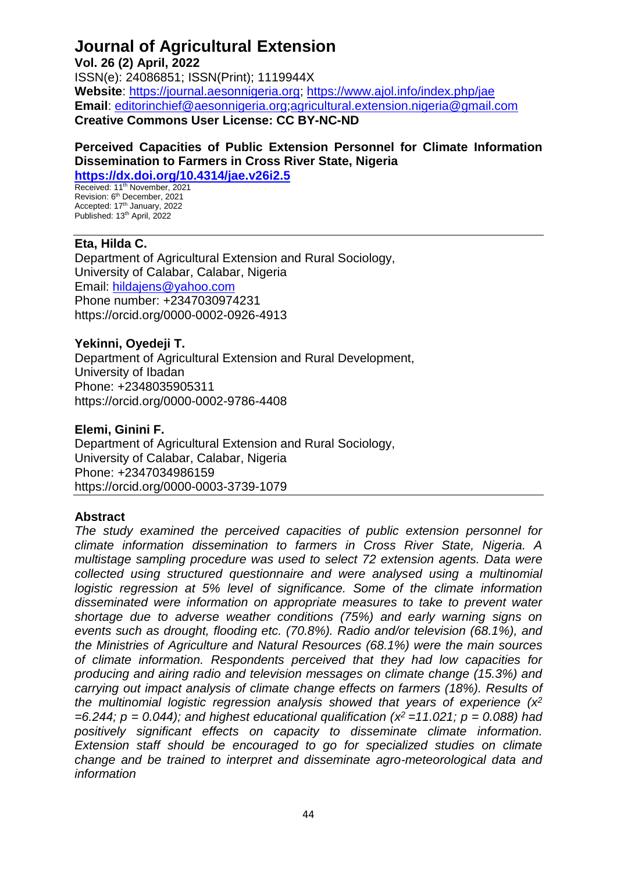**Vol. 26 (2) April, 2022** 

ISSN(e): 24086851; ISSN(Print); 1119944X **Website**: [https://journal.aesonnigeria.org;](https://journal.aesonnigeria.org/) <https://www.ajol.info/index.php/jae> **Email**: [editorinchief@aesonnigeria.org](mailto:editorinchief@aesonnigeria.org)[;agricultural.extension.nigeria@gmail.com](mailto:agricultural.extension.nigeria@gmail.com) **Creative Commons User License: CC BY-NC-ND**

#### **Perceived Capacities of Public Extension Personnel for Climate Information Dissemination to Farmers in Cross River State, Nigeria <https://dx.doi.org/10.4314/jae.v26i2.5>**

Received: 11<sup>th</sup> November, 2021 Revision: 6<sup>th</sup> December, 2021 Accepted: 17th January, 2022 Published: 13<sup>th</sup> April, 2022

# **Eta, Hilda C.**

Department of Agricultural Extension and Rural Sociology, University of Calabar, Calabar, Nigeria Email: [hildajens@yahoo.com](mailto:hildajens@yahoo.com) Phone number: +2347030974231 https://orcid.org/0000-0002-0926-4913

# **Yekinni, Oyedeji T.**

Department of Agricultural Extension and Rural Development, University of Ibadan Phone: +2348035905311 https://orcid.org/0000-0002-9786-4408

## **Elemi, Ginini F.**

Department of Agricultural Extension and Rural Sociology, University of Calabar, Calabar, Nigeria Phone: +2347034986159 https://orcid.org/0000-0003-3739-1079

# **Abstract**

*The study examined the perceived capacities of public extension personnel for climate information dissemination to farmers in Cross River State, Nigeria. A multistage sampling procedure was used to select 72 extension agents. Data were collected using structured questionnaire and were analysed using a multinomial logistic regression at 5% level of significance. Some of the climate information disseminated were information on appropriate measures to take to prevent water shortage due to adverse weather conditions (75%) and early warning signs on events such as drought, flooding etc. (70.8%). Radio and/or television (68.1%), and the Ministries of Agriculture and Natural Resources (68.1%) were the main sources of climate information. Respondents perceived that they had low capacities for producing and airing radio and television messages on climate change (15.3%) and carrying out impact analysis of climate change effects on farmers (18%). Results of the multinomial logistic regression analysis showed that years of experience (x 2 =6.244; p = 0.044); and highest educational qualification (x <sup>2</sup>=11.021; p = 0.088) had positively significant effects on capacity to disseminate climate information. Extension staff should be encouraged to go for specialized studies on climate change and be trained to interpret and disseminate agro-meteorological data and information*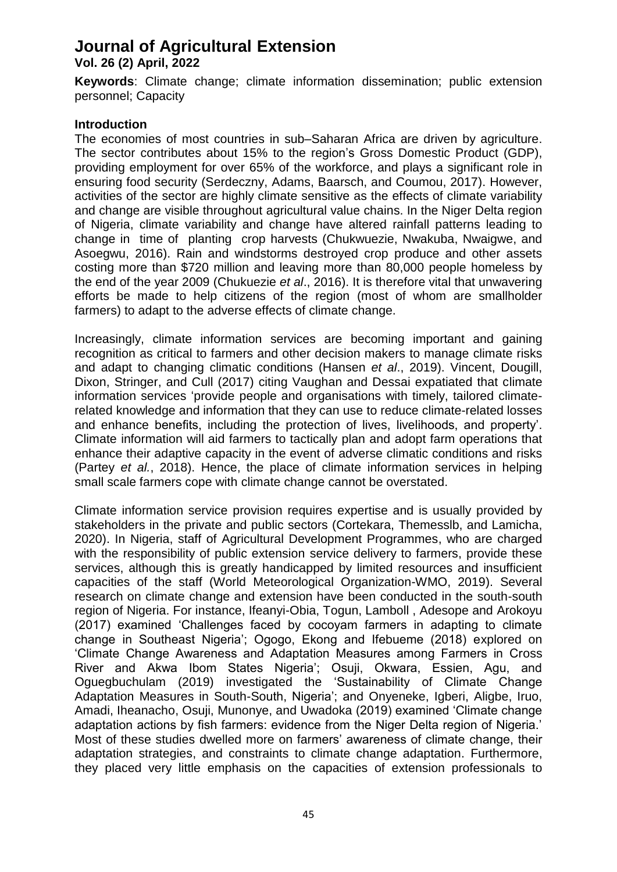**Vol. 26 (2) April, 2022** 

**Keywords**: Climate change; climate information dissemination; public extension personnel; Capacity

## **Introduction**

The economies of most countries in sub–Saharan Africa are driven by agriculture. The sector contributes about 15% to the region's Gross Domestic Product (GDP), providing employment for over 65% of the workforce, and plays a significant role in ensuring food security (Serdeczny, Adams, Baarsch, and Coumou, 2017). However, activities of the sector are highly climate sensitive as the effects of climate variability and change are visible throughout agricultural value chains. In the Niger Delta region of Nigeria, climate variability and change have altered rainfall patterns leading to change in time of planting crop harvests (Chukwuezie, Nwakuba, Nwaigwe, and Asoegwu, 2016). Rain and windstorms destroyed crop produce and other assets costing more than \$720 million and leaving more than 80,000 people homeless by the end of the year 2009 (Chukuezie *et al*., 2016). It is therefore vital that unwavering efforts be made to help citizens of the region (most of whom are smallholder farmers) to adapt to the adverse effects of climate change.

Increasingly, climate information services are becoming important and gaining recognition as critical to farmers and other decision makers to manage climate risks and adapt to changing climatic conditions (Hansen *et al*., 2019). Vincent, Dougill, Dixon, Stringer, and Cull (2017) citing Vaughan and Dessai expatiated that climate information services 'provide people and organisations with timely, tailored climaterelated knowledge and information that they can use to reduce climate-related losses and enhance benefits, including the protection of lives, livelihoods, and property'. Climate information will aid farmers to tactically plan and adopt farm operations that enhance their adaptive capacity in the event of adverse climatic conditions and risks (Partey *et al.*, 2018). Hence, the place of climate information services in helping small scale farmers cope with climate change cannot be overstated.

Climate information service provision requires expertise and is usually provided by stakeholders in the private and public sectors (Cortekara, Themesslb, and Lamicha, 2020). In Nigeria, staff of Agricultural Development Programmes, who are charged with the responsibility of public extension service delivery to farmers, provide these services, although this is greatly handicapped by limited resources and insufficient capacities of the staff (World Meteorological Organization-WMO, 2019). Several research on climate change and extension have been conducted in the south-south region of Nigeria. For instance, Ifeanyi-Obia, Togun, Lamboll , Adesope and Arokoyu (2017) examined 'Challenges faced by cocoyam farmers in adapting to climate change in Southeast Nigeria'; Ogogo, Ekong and Ifebueme (2018) explored on 'Climate Change Awareness and Adaptation Measures among Farmers in Cross River and Akwa Ibom States Nigeria'; Osuji, Okwara, Essien, Agu, and Oguegbuchulam (2019) investigated the 'Sustainability of Climate Change Adaptation Measures in South-South, Nigeria'; and Onyeneke, Igberi, Aligbe, Iruo, Amadi, Iheanacho, Osuji, Munonye, and Uwadoka (2019) examined 'Climate change adaptation actions by fish farmers: evidence from the Niger Delta region of Nigeria.' Most of these studies dwelled more on farmers' awareness of climate change, their adaptation strategies, and constraints to climate change adaptation. Furthermore, they placed very little emphasis on the capacities of extension professionals to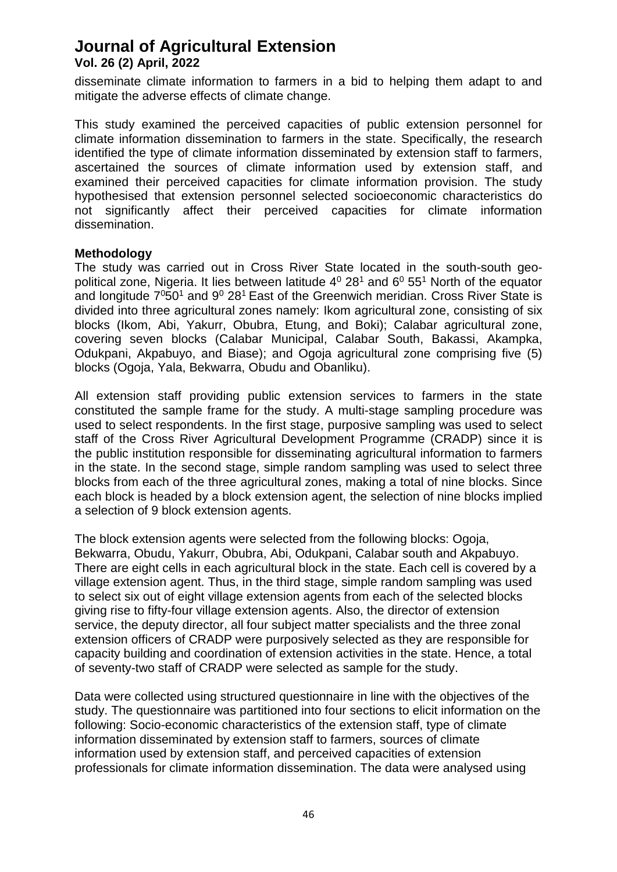disseminate climate information to farmers in a bid to helping them adapt to and mitigate the adverse effects of climate change.

This study examined the perceived capacities of public extension personnel for climate information dissemination to farmers in the state. Specifically, the research identified the type of climate information disseminated by extension staff to farmers, ascertained the sources of climate information used by extension staff, and examined their perceived capacities for climate information provision. The study hypothesised that extension personnel selected socioeconomic characteristics do not significantly affect their perceived capacities for climate information dissemination.

#### **Methodology**

The study was carried out in Cross River State located in the south-south geopolitical zone, Nigeria. It lies between latitude  $4^0$  28<sup>1</sup> and  $6^0$  55<sup>1</sup> North of the equator and longitude  $7^0$ 50<sup>1</sup> and  $9^0$  28<sup>1</sup> East of the Greenwich meridian. Cross River State is divided into three agricultural zones namely: Ikom agricultural zone, consisting of six blocks [\(Ikom,](http://en.wikipedia.org/wiki/Ikom) [Abi,](http://en.wikipedia.org/wiki/Abi,_Nigeria) [Yakurr,](http://en.wikipedia.org/wiki/Yakuur) Obubra, [Etung,](http://en.wikipedia.org/wiki/Etung) and [Boki\)](http://en.wikipedia.org/wiki/Boki,_Nigeria); Calabar agricultural zone, covering seven blocks [\(Calabar Municipal,](http://en.wikipedia.org/wiki/Calabar_Municipal) [Calabar South,](http://en.wikipedia.org/wiki/Calabar_South) [Bakassi,](http://en.wikipedia.org/wiki/Bakassi) [Akampka,](http://en.wikipedia.org/wiki/Akamkpa) [Odukpani,](http://en.wikipedia.org/wiki/Odukpani) [Akpabuyo,](http://en.wikipedia.org/wiki/Akpabuyo) and [Biase\)](http://en.wikipedia.org/wiki/Biase); and Ogoja agricultural zone comprising five (5) blocks (Ogoja, Yala, Bekwarra, [Obudu](http://en.wikipedia.org/wiki/Obudu) and [Obanliku\)](http://en.wikipedia.org/wiki/Obanliku).

All extension staff providing public extension services to farmers in the state constituted the sample frame for the study. A multi-stage sampling procedure was used to select respondents. In the first stage, purposive sampling was used to select staff of the Cross River Agricultural Development Programme (CRADP) since it is the public institution responsible for disseminating agricultural information to farmers in the state. In the second stage, simple random sampling was used to select three blocks from each of the three agricultural zones, making a total of nine blocks. Since each block is headed by a block extension agent, the selection of nine blocks implied a selection of 9 block extension agents.

The block extension agents were selected from the following blocks: Ogoja, Bekwarra, Obudu, Yakurr, Obubra, Abi, Odukpani, Calabar south and Akpabuyo. There are eight cells in each agricultural block in the state. Each cell is covered by a village extension agent. Thus, in the third stage, simple random sampling was used to select six out of eight village extension agents from each of the selected blocks giving rise to fifty-four village extension agents. Also, the director of extension service, the deputy director, all four subject matter specialists and the three zonal extension officers of CRADP were purposively selected as they are responsible for capacity building and coordination of extension activities in the state. Hence, a total of seventy-two staff of CRADP were selected as sample for the study.

Data were collected using structured questionnaire in line with the objectives of the study. The questionnaire was partitioned into four sections to elicit information on the following: Socio-economic characteristics of the extension staff, type of climate information disseminated by extension staff to farmers, sources of climate information used by extension staff, and perceived capacities of extension professionals for climate information dissemination. The data were analysed using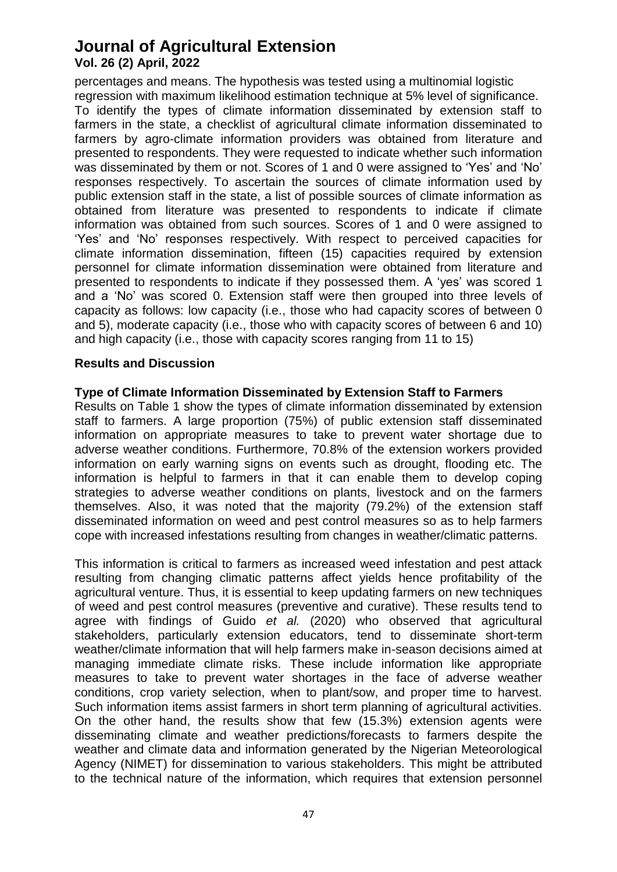percentages and means. The hypothesis was tested using a multinomial logistic regression with maximum likelihood estimation technique at 5% level of significance. To identify the types of climate information disseminated by extension staff to farmers in the state, a checklist of agricultural climate information disseminated to farmers by agro-climate information providers was obtained from literature and presented to respondents. They were requested to indicate whether such information was disseminated by them or not. Scores of 1 and 0 were assigned to 'Yes' and 'No' responses respectively. To ascertain the sources of climate information used by public extension staff in the state, a list of possible sources of climate information as obtained from literature was presented to respondents to indicate if climate information was obtained from such sources. Scores of 1 and 0 were assigned to 'Yes' and 'No' responses respectively. With respect to perceived capacities for climate information dissemination, fifteen (15) capacities required by extension personnel for climate information dissemination were obtained from literature and presented to respondents to indicate if they possessed them. A 'yes' was scored 1 and a 'No' was scored 0. Extension staff were then grouped into three levels of capacity as follows: low capacity (i.e., those who had capacity scores of between 0 and 5), moderate capacity (i.e., those who with capacity scores of between 6 and 10) and high capacity (i.e., those with capacity scores ranging from 11 to 15)

## **Results and Discussion**

## **Type of Climate Information Disseminated by Extension Staff to Farmers**

Results on Table 1 show the types of climate information disseminated by extension staff to farmers. A large proportion (75%) of public extension staff disseminated information on appropriate measures to take to prevent water shortage due to adverse weather conditions. Furthermore, 70.8% of the extension workers provided information on early warning signs on events such as drought, flooding etc. The information is helpful to farmers in that it can enable them to develop coping strategies to adverse weather conditions on plants, livestock and on the farmers themselves. Also, it was noted that the majority (79.2%) of the extension staff disseminated information on weed and pest control measures so as to help farmers cope with increased infestations resulting from changes in weather/climatic patterns.

This information is critical to farmers as increased weed infestation and pest attack resulting from changing climatic patterns affect yields hence profitability of the agricultural venture. Thus, it is essential to keep updating farmers on new techniques of weed and pest control measures (preventive and curative). These results tend to agree with findings of Guido *et al.* (2020) who observed that agricultural stakeholders, particularly extension educators, tend to disseminate short-term weather/climate information that will help farmers make in-season decisions aimed at managing immediate climate risks. These include information like appropriate measures to take to prevent water shortages in the face of adverse weather conditions, crop variety selection, when to plant/sow, and proper time to harvest. Such information items assist farmers in short term planning of agricultural activities. On the other hand, the results show that few (15.3%) extension agents were disseminating climate and weather predictions/forecasts to farmers despite the weather and climate data and information generated by the Nigerian Meteorological Agency (NIMET) for dissemination to various stakeholders. This might be attributed to the technical nature of the information, which requires that extension personnel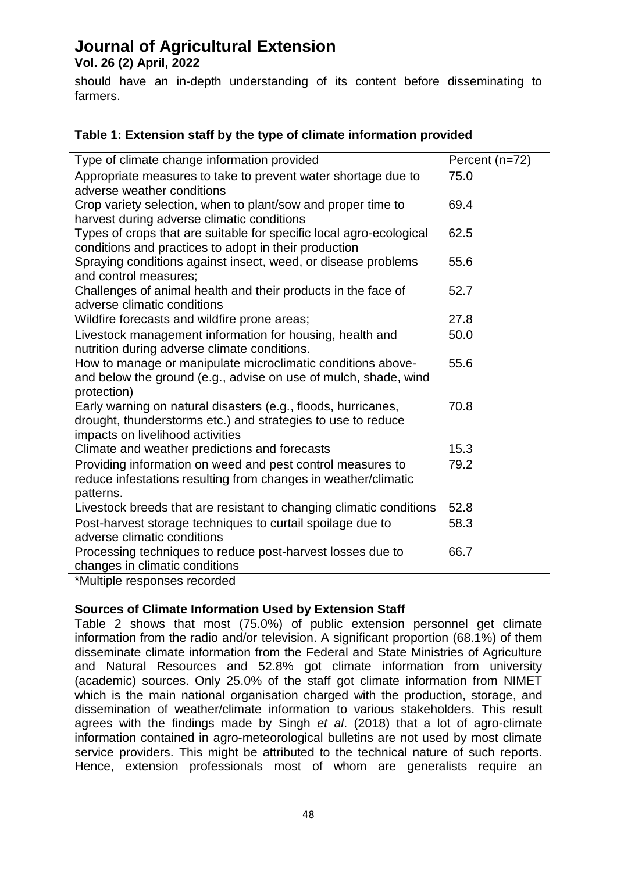**Vol. 26 (2) April, 2022** 

should have an in-depth understanding of its content before disseminating to farmers.

## **Table 1: Extension staff by the type of climate information provided**

| Type of climate change information provided                                                                                  | Percent (n=72) |
|------------------------------------------------------------------------------------------------------------------------------|----------------|
| Appropriate measures to take to prevent water shortage due to                                                                | 75.0           |
| adverse weather conditions                                                                                                   |                |
| Crop variety selection, when to plant/sow and proper time to<br>harvest during adverse climatic conditions                   | 69.4           |
|                                                                                                                              | 62.5           |
| Types of crops that are suitable for specific local agro-ecological<br>conditions and practices to adopt in their production |                |
| Spraying conditions against insect, weed, or disease problems                                                                | 55.6           |
| and control measures:                                                                                                        |                |
| Challenges of animal health and their products in the face of                                                                | 52.7           |
| adverse climatic conditions                                                                                                  |                |
| Wildfire forecasts and wildfire prone areas;                                                                                 | 27.8           |
| Livestock management information for housing, health and                                                                     | 50.0           |
| nutrition during adverse climate conditions.                                                                                 |                |
| How to manage or manipulate microclimatic conditions above-                                                                  | 55.6           |
| and below the ground (e.g., advise on use of mulch, shade, wind                                                              |                |
| protection)                                                                                                                  |                |
| Early warning on natural disasters (e.g., floods, hurricanes,                                                                | 70.8           |
| drought, thunderstorms etc.) and strategies to use to reduce                                                                 |                |
| impacts on livelihood activities                                                                                             |                |
| Climate and weather predictions and forecasts                                                                                | 15.3           |
| Providing information on weed and pest control measures to                                                                   | 79.2           |
| reduce infestations resulting from changes in weather/climatic                                                               |                |
| patterns.                                                                                                                    |                |
| Livestock breeds that are resistant to changing climatic conditions                                                          | 52.8           |
| Post-harvest storage techniques to curtail spoilage due to                                                                   | 58.3           |
| adverse climatic conditions                                                                                                  |                |
| Processing techniques to reduce post-harvest losses due to                                                                   | 66.7           |
| changes in climatic conditions                                                                                               |                |
| $*$ Multiple perspected perspected                                                                                           |                |

\*Multiple responses recorded

## **Sources of Climate Information Used by Extension Staff**

Table 2 shows that most (75.0%) of public extension personnel get climate information from the radio and/or television. A significant proportion (68.1%) of them disseminate climate information from the Federal and State Ministries of Agriculture and Natural Resources and 52.8% got climate information from university (academic) sources. Only 25.0% of the staff got climate information from NIMET which is the main national organisation charged with the production, storage, and dissemination of weather/climate information to various stakeholders. This result agrees with the findings made by Singh *et al*. (2018) that a lot of agro-climate information contained in agro-meteorological bulletins are not used by most climate service providers. This might be attributed to the technical nature of such reports. Hence, extension professionals most of whom are generalists require an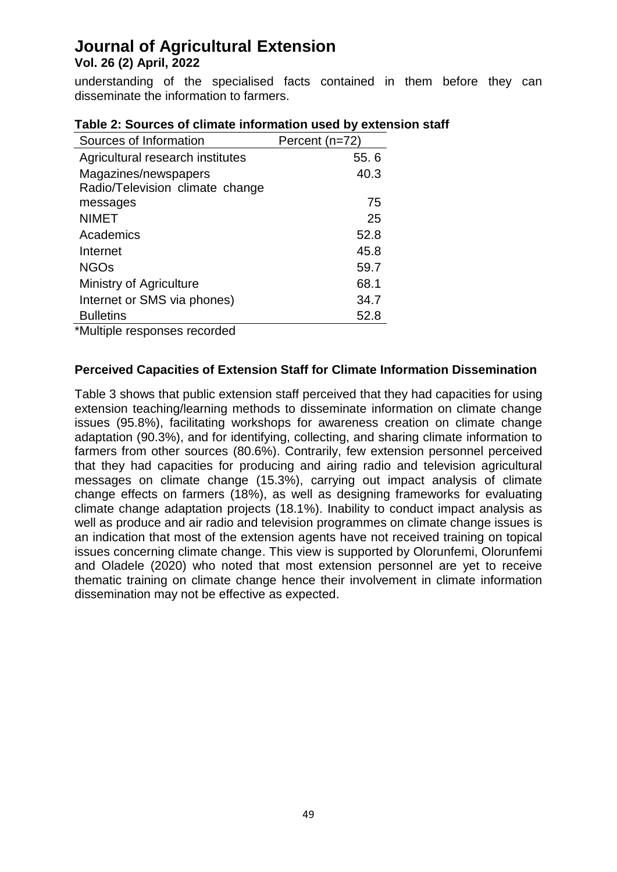understanding of the specialised facts contained in them before they can disseminate the information to farmers.

| Sources of Information           | Percent (n=72) |  |
|----------------------------------|----------------|--|
| Agricultural research institutes | 55.6           |  |
| Magazines/newspapers             | 40.3           |  |
| Radio/Television climate change  |                |  |
| messages                         | 75             |  |
| <b>NIMET</b>                     | 25             |  |
| Academics                        | 52.8           |  |
| Internet                         | 45.8           |  |
| <b>NGOs</b>                      | 59.7           |  |
| Ministry of Agriculture          | 68.1           |  |
| Internet or SMS via phones)      | 34.7           |  |
| <b>Bulletins</b>                 | 52.8           |  |
|                                  |                |  |

\*Multiple responses recorded

## **Perceived Capacities of Extension Staff for Climate Information Dissemination**

Table 3 shows that public extension staff perceived that they had capacities for using extension teaching/learning methods to disseminate information on climate change issues (95.8%), facilitating workshops for awareness creation on climate change adaptation (90.3%), and for identifying, collecting, and sharing climate information to farmers from other sources (80.6%). Contrarily, few extension personnel perceived that they had capacities for producing and airing radio and television agricultural messages on climate change (15.3%), carrying out impact analysis of climate change effects on farmers (18%), as well as designing frameworks for evaluating climate change adaptation projects (18.1%). Inability to conduct impact analysis as well as produce and air radio and television programmes on climate change issues is an indication that most of the extension agents have not received training on topical issues concerning climate change. This view is supported by Olorunfemi, Olorunfemi and Oladele (2020) who noted that most extension personnel are yet to receive thematic training on climate change hence their involvement in climate information dissemination may not be effective as expected.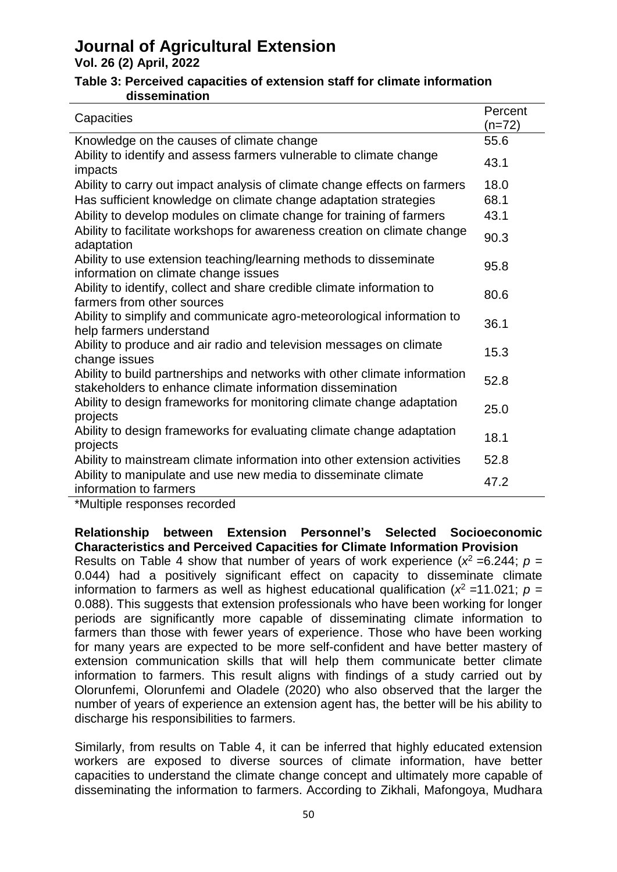**Vol. 26 (2) April, 2022** 

#### **Table 3: Perceived capacities of extension staff for climate information dissemination**

| Capacities                                                                                                                             | Percent<br>$(n=72)$ |
|----------------------------------------------------------------------------------------------------------------------------------------|---------------------|
| Knowledge on the causes of climate change                                                                                              | 55.6                |
| Ability to identify and assess farmers vulnerable to climate change<br>impacts                                                         | 43.1                |
| Ability to carry out impact analysis of climate change effects on farmers                                                              | 18.0                |
| Has sufficient knowledge on climate change adaptation strategies                                                                       | 68.1                |
| Ability to develop modules on climate change for training of farmers                                                                   | 43.1                |
| Ability to facilitate workshops for awareness creation on climate change<br>adaptation                                                 | 90.3                |
| Ability to use extension teaching/learning methods to disseminate<br>information on climate change issues                              | 95.8                |
| Ability to identify, collect and share credible climate information to<br>farmers from other sources                                   | 80.6                |
| Ability to simplify and communicate agro-meteorological information to<br>help farmers understand                                      | 36.1                |
| Ability to produce and air radio and television messages on climate<br>change issues                                                   | 15.3                |
| Ability to build partnerships and networks with other climate information<br>stakeholders to enhance climate information dissemination | 52.8                |
| Ability to design frameworks for monitoring climate change adaptation<br>projects                                                      | 25.0                |
| Ability to design frameworks for evaluating climate change adaptation<br>projects                                                      | 18.1                |
| Ability to mainstream climate information into other extension activities                                                              | 52.8                |
| Ability to manipulate and use new media to disseminate climate<br>information to farmers                                               | 47.2                |
| $*$ Multiple reepersee reeerded                                                                                                        |                     |

\*Multiple responses recorded

## **Relationship between Extension Personnel's Selected Socioeconomic Characteristics and Perceived Capacities for Climate Information Provision**

Results on Table 4 show that number of years of work experience  $(x^2 = 6.244; p =$ 0.044) had a positively significant effect on capacity to disseminate climate information to farmers as well as highest educational qualification ( $x^2 = 11.021$ ;  $p =$ 0.088). This suggests that extension professionals who have been working for longer periods are significantly more capable of disseminating climate information to farmers than those with fewer years of experience. Those who have been working for many years are expected to be more self-confident and have better mastery of extension communication skills that will help them communicate better climate information to farmers. This result aligns with findings of a study carried out by Olorunfemi, Olorunfemi and Oladele (2020) who also observed that the larger the number of years of experience an extension agent has, the better will be his ability to discharge his responsibilities to farmers.

Similarly, from results on Table 4, it can be inferred that highly educated extension workers are exposed to diverse sources of climate information, have better capacities to understand the climate change concept and ultimately more capable of disseminating the information to farmers. According to Zikhali, Mafongoya, Mudhara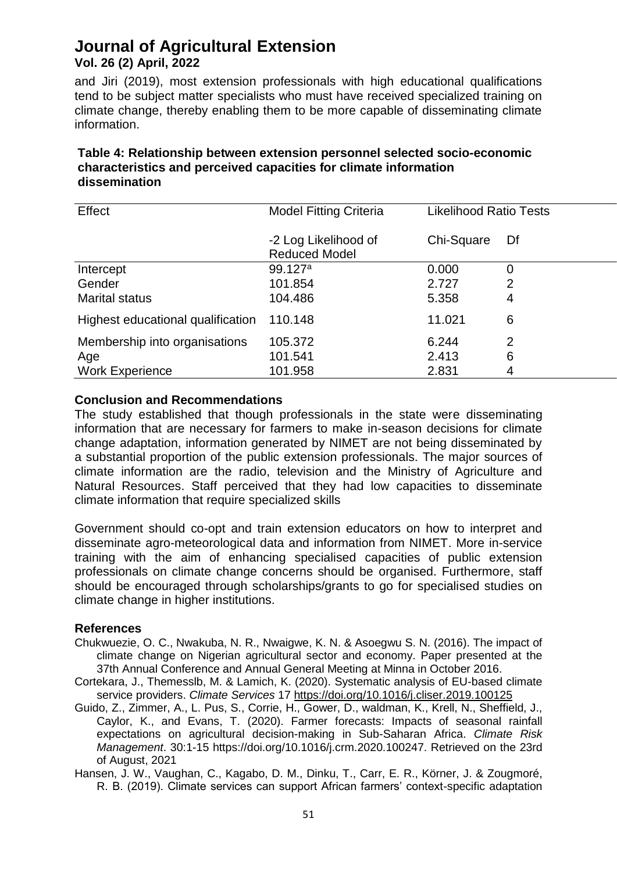and Jiri (2019), most extension professionals with high educational qualifications tend to be subject matter specialists who must have received specialized training on climate change, thereby enabling them to be more capable of disseminating climate information.

## **Table 4: Relationship between extension personnel selected socio-economic characteristics and perceived capacities for climate information dissemination**

| Effect                            | <b>Model Fitting Criteria</b>                | <b>Likelihood Ratio Tests</b> |    |
|-----------------------------------|----------------------------------------------|-------------------------------|----|
|                                   | -2 Log Likelihood of<br><b>Reduced Model</b> | Chi-Square                    | Df |
| Intercept                         | 99.127a                                      | 0.000                         | 0  |
| Gender                            | 101.854                                      | 2.727                         | 2  |
| <b>Marital status</b>             | 104.486                                      | 5.358                         | 4  |
| Highest educational qualification | 110.148                                      | 11.021                        | 6  |
| Membership into organisations     | 105.372                                      | 6.244                         | 2  |
| Age                               | 101.541                                      | 2.413                         | 6  |
| <b>Work Experience</b>            | 101.958                                      | 2.831                         | 4  |

#### **Conclusion and Recommendations**

The study established that though professionals in the state were disseminating information that are necessary for farmers to make in-season decisions for climate change adaptation, information generated by NIMET are not being disseminated by a substantial proportion of the public extension professionals. The major sources of climate information are the radio, television and the Ministry of Agriculture and Natural Resources. Staff perceived that they had low capacities to disseminate climate information that require specialized skills

Government should co-opt and train extension educators on how to interpret and disseminate agro-meteorological data and information from NIMET. More in-service training with the aim of enhancing specialised capacities of public extension professionals on climate change concerns should be organised. Furthermore, staff should be encouraged through scholarships/grants to go for specialised studies on climate change in higher institutions.

#### **References**

- Chukwuezie, O. C., Nwakuba, N. R., Nwaigwe, K. N. & Asoegwu S. N. (2016). The impact of climate change on Nigerian agricultural sector and economy. Paper presented at the 37th Annual Conference and Annual General Meeting at Minna in October 2016.
- Cortekara, J., Themesslb, M. & Lamich, K. (2020). Systematic analysis of EU-based climate service providers. *Climate Services* 17<https://doi.org/10.1016/j.cliser.2019.100125>
- Guido, Z., Zimmer, A., L. Pus, S., Corrie, H., Gower, D., waldman, K., Krell, N., Sheffield, J., Caylor, K., and Evans, T. (2020). Farmer forecasts: Impacts of seasonal rainfall expectations on agricultural decision-making in Sub-Saharan Africa. *Climate Risk Management*. 30:1-15 https://doi.org/10.1016/j.crm.2020.100247. Retrieved on the 23rd of August, 2021
- Hansen, J. W., Vaughan, C., Kagabo, D. M., Dinku, T., Carr, E. R., Körner, J. & Zougmoré, R. B. (2019). Climate services can support African farmers' context-specific adaptation